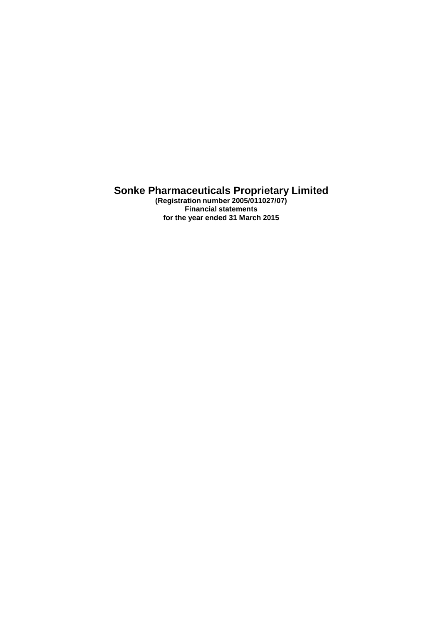**(Registration number 2005/011027/07) Financial statements for the year ended 31 March 2015**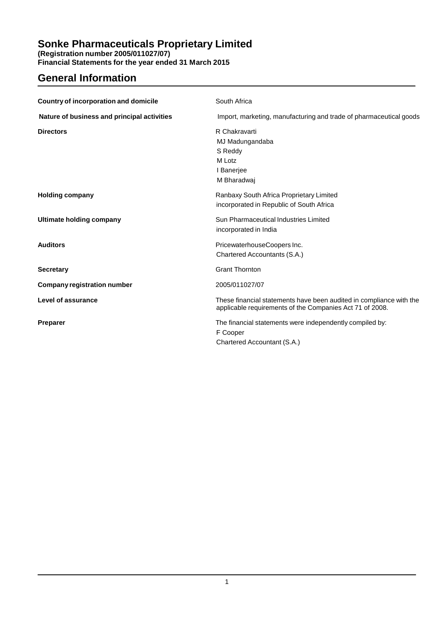**(Registration number 2005/011027/07)**

**Financial Statements for the year ended 31 March 2015**

## **General Information**

| Country of incorporation and domicile       | South Africa                                                                                                                    |
|---------------------------------------------|---------------------------------------------------------------------------------------------------------------------------------|
| Nature of business and principal activities | Import, marketing, manufacturing and trade of pharmaceutical goods                                                              |
| <b>Directors</b>                            | R Chakravarti<br>MJ Madungandaba<br>S Reddy<br>M Lotz<br>I Banerjee<br>M Bharadwaj                                              |
| <b>Holding company</b>                      | Ranbaxy South Africa Proprietary Limited<br>incorporated in Republic of South Africa                                            |
| Ultimate holding company                    | Sun Pharmaceutical Industries Limited<br>incorporated in India                                                                  |
| <b>Auditors</b>                             | PricewaterhouseCoopers Inc.<br>Chartered Accountants (S.A.)                                                                     |
| <b>Secretary</b>                            | <b>Grant Thornton</b>                                                                                                           |
| <b>Company registration number</b>          | 2005/011027/07                                                                                                                  |
| <b>Level of assurance</b>                   | These financial statements have been audited in compliance with the<br>applicable requirements of the Companies Act 71 of 2008. |
| <b>Preparer</b>                             | The financial statements were independently compiled by:<br>F Cooper<br>Chartered Accountant (S.A.)                             |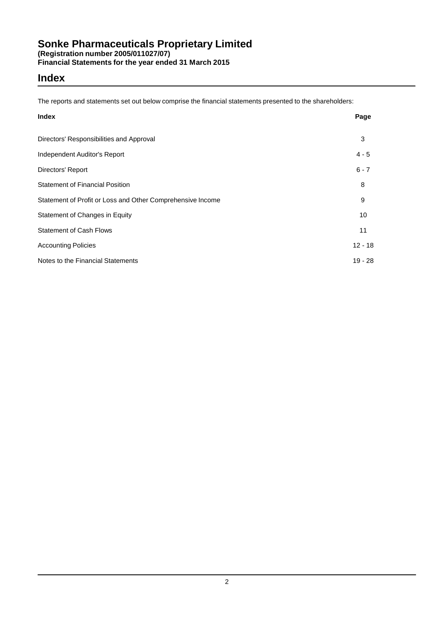## **Index**

The reports and statements set out below comprise the financial statements presented to the shareholders:

| <b>Index</b>                                               | Page      |
|------------------------------------------------------------|-----------|
| Directors' Responsibilities and Approval                   | 3         |
| Independent Auditor's Report                               | $4 - 5$   |
| Directors' Report                                          | $6 - 7$   |
| <b>Statement of Financial Position</b>                     | 8         |
| Statement of Profit or Loss and Other Comprehensive Income | 9         |
| Statement of Changes in Equity                             | 10        |
| <b>Statement of Cash Flows</b>                             | 11        |
| <b>Accounting Policies</b>                                 | $12 - 18$ |
| Notes to the Financial Statements                          | $19 - 28$ |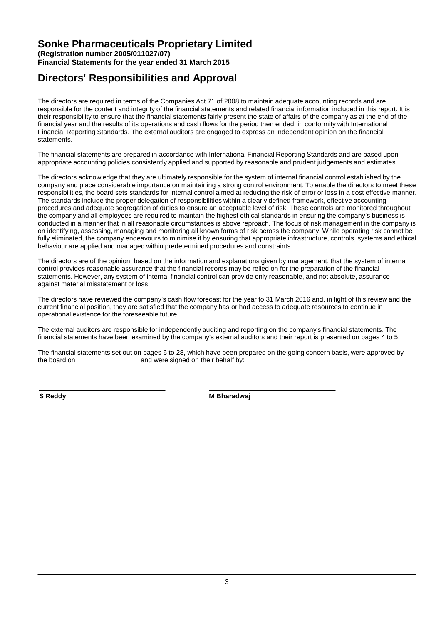## **Sonke Pharmaceuticals Proprietary Limited (Registration number 2005/011027/07)**

## **Financial Statements for the year ended 31 March 2015**

## **Directors' Responsibilities and Approval**

The directors are required in terms of the Companies Act 71 of 2008 to maintain adequate accounting records and are responsible for the content and integrity of the financial statements and related financial information included in this report. It is their responsibility to ensure that the financial statements fairly present the state of affairs of the company as at the end of the financial year and the results of its operations and cash flows for the period then ended, in conformity with International Financial Reporting Standards. The external auditors are engaged to express an independent opinion on the financial statements.

The financial statements are prepared in accordance with International Financial Reporting Standards and are based upon appropriate accounting policies consistently applied and supported by reasonable and prudent judgements and estimates.

The directors acknowledge that they are ultimately responsible for the system of internal financial control established by the company and place considerable importance on maintaining a strong control environment. To enable the directors to meet these responsibilities, the board sets standards for internal control aimed at reducing the risk of error or loss in a cost effective manner. The standards include the proper delegation of responsibilities within a clearly defined framework, effective accounting procedures and adequate segregation of duties to ensure an acceptable level of risk. These controls are monitored throughout the company and all employees are required to maintain the highest ethical standards in ensuring the company's business is conducted in a manner that in all reasonable circumstances is above reproach. The focus of risk management in the company is on identifying, assessing, managing and monitoring all known forms of risk across the company. While operating risk cannot be fully eliminated, the company endeavours to minimise it by ensuring that appropriate infrastructure, controls, systems and ethical behaviour are applied and managed within predetermined procedures and constraints.

The directors are of the opinion, based on the information and explanations given by management, that the system of internal control provides reasonable assurance that the financial records may be relied on for the preparation of the financial statements. However, any system of internal financial control can provide only reasonable, and not absolute, assurance against material misstatement or loss.

The directors have reviewed the company's cash flow forecast for the year to 31 March 2016 and, in light of this review and the current financial position, they are satisfied that the company has or had access to adequate resources to continue in operational existence for the foreseeable future.

The external auditors are responsible for independently auditing and reporting on the company's financial statements. The financial statements have been examined by the company's external auditors and their report is presented on pages 4 to 5.

The financial statements set out on pages 6 to 28, which have been prepared on the going concern basis, were approved by the board on and were signed on their behalf by:

**S Reddy M Bharadwaj**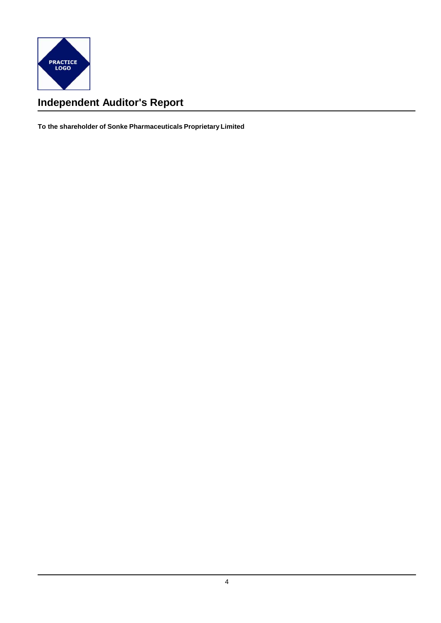

# **Independent Auditor's Report**

**To the shareholder of Sonke Pharmaceuticals Proprietary Limited**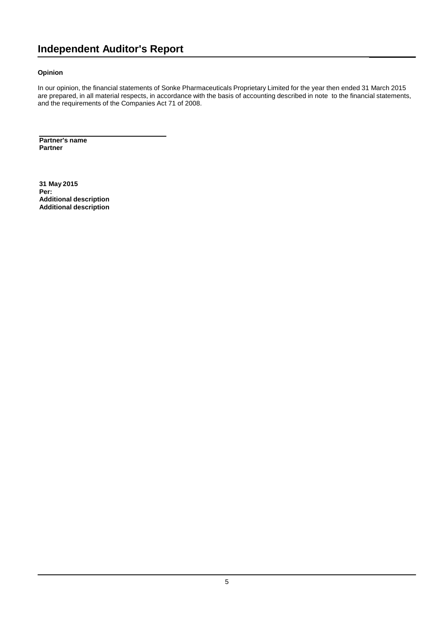# **Independent Auditor's Report**

## **Opinion**

In our opinion, the financial statements of Sonke Pharmaceuticals Proprietary Limited for the year then ended 31 March 2015 are prepared, in all material respects, in accordance with the basis of accounting described in note to the financial statements, and the requirements of the Companies Act 71 of 2008.

**Partner's name Partner**

**31 May 2015 Per: Additional description Additional description**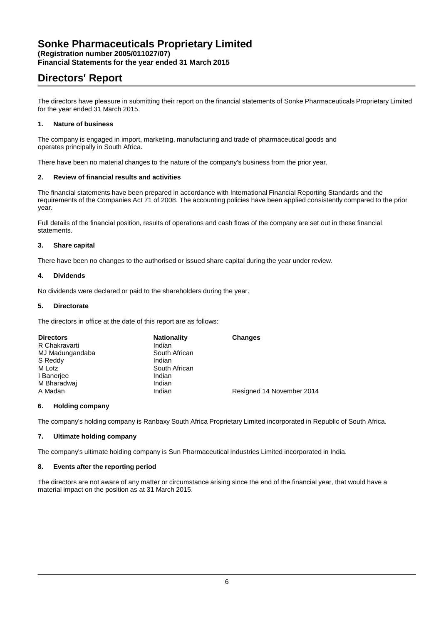**Financial Statements for the year ended 31 March 2015**

## **Directors' Report**

The directors have pleasure in submitting their report on the financial statements of Sonke Pharmaceuticals Proprietary Limited for the year ended 31 March 2015.

## **1. Nature of business**

The company is engaged in import, marketing, manufacturing and trade of pharmaceutical goods and operates principally in South Africa.

There have been no material changes to the nature of the company's business from the prior year.

### **2. Review of financial results and activities**

The financial statements have been prepared in accordance with International Financial Reporting Standards and the requirements of the Companies Act 71 of 2008. The accounting policies have been applied consistently compared to the prior year.

Full details of the financial position, results of operations and cash flows of the company are set out in these financial statements.

### **3. Share capital**

There have been no changes to the authorised or issued share capital during the year under review.

#### **4. Dividends**

No dividends were declared or paid to the shareholders during the year.

#### **5. Directorate**

The directors in office at the date of this report are as follows:

| <b>Directors</b> | <b>Nationality</b> | <b>Changes</b>            |
|------------------|--------------------|---------------------------|
| R Chakravarti    | Indian             |                           |
| MJ Madungandaba  | South African      |                           |
| S Reddy          | Indian             |                           |
| M Lotz           | South African      |                           |
| I Baneriee       | Indian             |                           |
| M Bharadwai      | Indian             |                           |
| A Madan          | Indian             | Resigned 14 November 2014 |
|                  |                    |                           |

### **6. Holding company**

The company's holding company is Ranbaxy South Africa Proprietary Limited incorporated in Republic of South Africa.

### **7. Ultimate holding company**

The company's ultimate holding company is Sun Pharmaceutical Industries Limited incorporated in India.

#### **8. Events after the reporting period**

The directors are not aware of any matter or circumstance arising since the end of the financial year, that would have a material impact on the position as at 31 March 2015.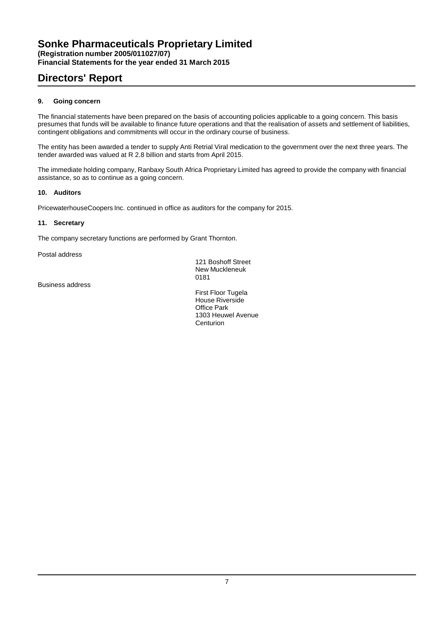**Financial Statements for the year ended 31 March 2015**

## **Directors' Report**

## **9. Going concern**

The financial statements have been prepared on the basis of accounting policies applicable to a going concern. This basis presumes that funds will be available to finance future operations and that the realisation of assets and settlement of liabilities, contingent obligations and commitments will occur in the ordinary course of business.

The entity has been awarded a tender to supply Anti Retrial Viral medication to the government over the next three years. The tender awarded was valued at R 2.8 billion and starts from April 2015.

The immediate holding company, Ranbaxy South Africa Proprietary Limited has agreed to provide the company with financial assistance, so as to continue as a going concern.

## **10. Auditors**

PricewaterhouseCoopers Inc. continued in office as auditors for the company for 2015.

## **11. Secretary**

The company secretary functions are performed by Grant Thornton.

Postal address

Business address

121 Boshoff Street New Muckleneuk 0181

First Floor Tugela House Riverside Office Park 1303 Heuwel Avenue Centurion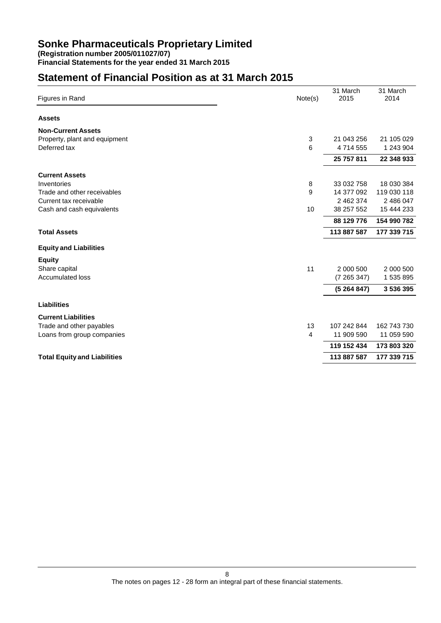**(Registration number 2005/011027/07) Financial Statements for the year ended 31 March 2015**

## **Statement of Financial Position as at 31 March 2015**

| Figures in Rand                     | Note(s) | 31 March<br>2015 | 31 March<br>2014 |
|-------------------------------------|---------|------------------|------------------|
| <b>Assets</b>                       |         |                  |                  |
| <b>Non-Current Assets</b>           |         |                  |                  |
| Property, plant and equipment       | 3       | 21 043 256       | 21 105 029       |
| Deferred tax                        | 6       | 4714555          | 1 243 904        |
|                                     |         | 25 757 811       | 22 348 933       |
| <b>Current Assets</b>               |         |                  |                  |
| Inventories                         | 8       | 33 032 758       | 18 030 384       |
| Trade and other receivables         | 9       | 14 377 092       | 119 030 118      |
| Current tax receivable              |         | 2 462 374        | 2 486 047        |
| Cash and cash equivalents           | 10      | 38 257 552       | 15 444 233       |
|                                     |         | 88 129 776       | 154 990 782      |
| <b>Total Assets</b>                 |         | 113 887 587      | 177 339 715      |
| <b>Equity and Liabilities</b>       |         |                  |                  |
| <b>Equity</b>                       |         |                  |                  |
| Share capital                       | 11      | 2 000 500        | 2 000 500        |
| <b>Accumulated loss</b>             |         | (7265347)        | 1 535 895        |
|                                     |         | (5264847)        | 3 536 395        |
| <b>Liabilities</b>                  |         |                  |                  |
| <b>Current Liabilities</b>          |         |                  |                  |
| Trade and other payables            | 13      | 107 242 844      | 162 743 730      |
| Loans from group companies          | 4       | 11 909 590       | 11 059 590       |
|                                     |         | 119 152 434      | 173 803 320      |
| <b>Total Equity and Liabilities</b> |         | 113 887 587      | 177 339 715      |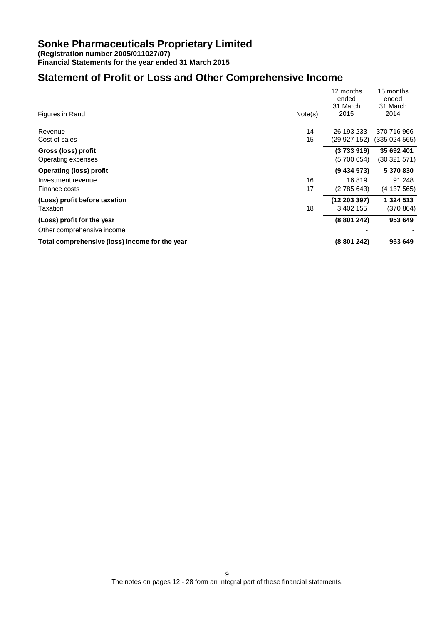**Financial Statements for the year ended 31 March 2015**

# **Statement of Profit or Loss and Other Comprehensive Income**

|                                                |         | 12 months<br>ended | 15 months<br>ended |
|------------------------------------------------|---------|--------------------|--------------------|
|                                                |         | 31 March           | 31 March           |
| Figures in Rand                                | Note(s) | 2015               | 2014               |
| Revenue                                        | 14      | 26 193 233         | 370 716 966        |
| Cost of sales                                  | 15      | (29927152)         | (335024565)        |
| Gross (loss) profit                            |         | (3 733 919)        | 35 692 401         |
| Operating expenses                             |         | (5 700 654)        | (30 321 571)       |
| <b>Operating (loss) profit</b>                 |         | (9434573)          | 5 370 830          |
| Investment revenue                             | 16      | 16819              | 91 248             |
| Finance costs                                  | 17      | (2785643)          | (4137565)          |
| (Loss) profit before taxation                  |         | (12 203 397)       | 1 324 513          |
| Taxation                                       | 18      | 3 402 155          | (370.864)          |
| (Loss) profit for the year                     |         | (8801242)          | 953 649            |
| Other comprehensive income                     |         |                    |                    |
| Total comprehensive (loss) income for the year |         | (8801242)          | 953 649            |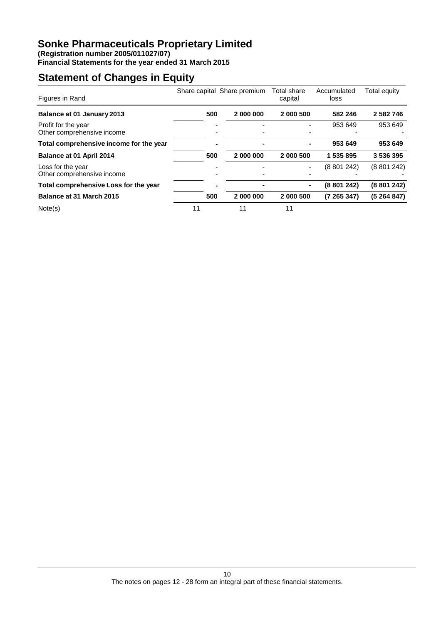**(Registration number 2005/011027/07)**

**Financial Statements for the year ended 31 March 2015**

## **Statement of Changes in Equity**

| Figures in Rand                                   |     | Share capital Share premium | Total share<br>capital | Accumulated<br>loss | Total equity |
|---------------------------------------------------|-----|-----------------------------|------------------------|---------------------|--------------|
| Balance at 01 January 2013                        | 500 | 2 000 000                   | 2 000 500              | 582 246             | 2582746      |
| Profit for the year<br>Other comprehensive income |     |                             |                        | 953 649             | 953 649      |
| Total comprehensive income for the year           |     |                             |                        | 953 649             | 953 649      |
| Balance at 01 April 2014                          | 500 | 2 000 000                   | 2 000 500              | 1 535 895           | 3 536 395    |
| Loss for the year<br>Other comprehensive income   |     |                             |                        | (8801242)           | (8 801 242)  |
| Total comprehensive Loss for the year             |     |                             |                        | (8801242)           | (8 801 242)  |
| Balance at 31 March 2015                          | 500 | 2 000 000                   | 2 000 500              | (7265347)           | (5 264 847)  |
| Note(s)                                           | 11  | 11                          | 11                     |                     |              |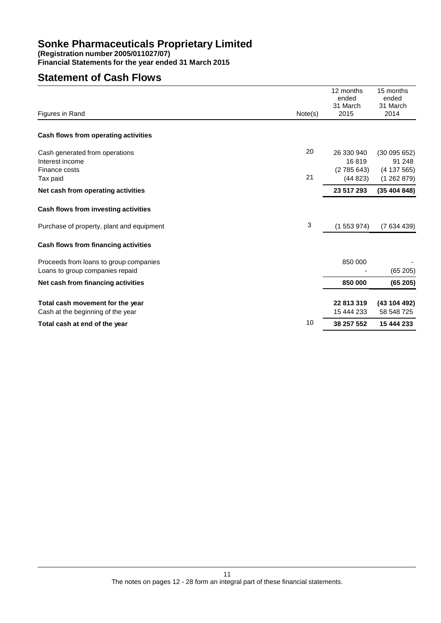**(Registration number 2005/011027/07)**

**Financial Statements for the year ended 31 March 2015**

## **Statement of Cash Flows**

|                                                                           |         | 12 months<br>ended<br>31 March | 15 months<br>ended<br>31 March |
|---------------------------------------------------------------------------|---------|--------------------------------|--------------------------------|
| Figures in Rand                                                           | Note(s) | 2015                           | 2014                           |
| Cash flows from operating activities                                      |         |                                |                                |
| Cash generated from operations<br>Interest income                         | 20      | 26 330 940<br>16819            | (30095652)<br>91 248           |
| Finance costs<br>Tax paid                                                 | 21      | (2785643)<br>(44823)           | (4137565)<br>(1262879)         |
| Net cash from operating activities                                        |         | 23 517 293                     | (35404848)                     |
| Cash flows from investing activities                                      |         |                                |                                |
| Purchase of property, plant and equipment                                 | 3       | (1553974)                      | (7634439)                      |
| Cash flows from financing activities                                      |         |                                |                                |
| Proceeds from loans to group companies<br>Loans to group companies repaid |         | 850 000                        | (65205)                        |
| Net cash from financing activities                                        |         | 850 000                        | (65205)                        |
| Total cash movement for the year<br>Cash at the beginning of the year     |         | 22 813 319<br>15 444 233       | (43104492)<br>58 548 725       |
| Total cash at end of the year                                             | 10      | 38 257 552                     | 15 444 233                     |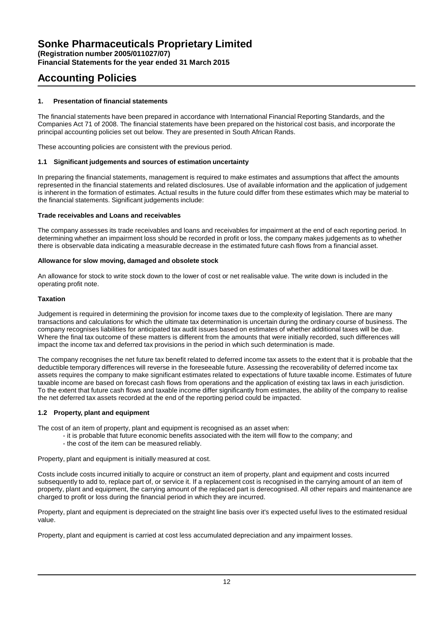**Financial Statements for the year ended 31 March 2015**

## **Accounting Policies**

## **1. Presentation of financial statements**

The financial statements have been prepared in accordance with International Financial Reporting Standards, and the Companies Act 71 of 2008. The financial statements have been prepared on the historical cost basis, and incorporate the principal accounting policies set out below. They are presented in South African Rands.

These accounting policies are consistent with the previous period.

#### **1.1 Significant judgements and sources of estimation uncertainty**

In preparing the financial statements, management is required to make estimates and assumptions that affect the amounts represented in the financial statements and related disclosures. Use of available information and the application of judgement is inherent in the formation of estimates. Actual results in the future could differ from these estimates which may be material to the financial statements. Significant judgements include:

#### **Trade receivables and Loans and receivables**

The company assesses its trade receivables and loans and receivables for impairment at the end of each reporting period. In determining whether an impairment loss should be recorded in profit or loss, the company makes judgements as to whether there is observable data indicating a measurable decrease in the estimated future cash flows from a financial asset.

#### **Allowance for slow moving, damaged and obsolete stock**

An allowance for stock to write stock down to the lower of cost or net realisable value. The write down is included in the operating profit note.

#### **Taxation**

Judgement is required in determining the provision for income taxes due to the complexity of legislation. There are many transactions and calculations for which the ultimate tax determination is uncertain during the ordinary course of business. The company recognises liabilities for anticipated tax audit issues based on estimates of whether additional taxes will be due. Where the final tax outcome of these matters is different from the amounts that were initially recorded, such differences will impact the income tax and deferred tax provisions in the period in which such determination is made.

The company recognises the net future tax benefit related to deferred income tax assets to the extent that it is probable that the deductible temporary differences will reverse in the foreseeable future. Assessing the recoverability of deferred income tax assets requires the company to make significant estimates related to expectations of future taxable income. Estimates of future taxable income are based on forecast cash flows from operations and the application of existing tax laws in each jurisdiction. To the extent that future cash flows and taxable income differ significantly from estimates, the ability of the company to realise the net deferred tax assets recorded at the end of the reporting period could be impacted.

### **1.2 Property, plant and equipment**

The cost of an item of property, plant and equipment is recognised as an asset when:

- it is probable that future economic benefits associated with the item will flow to the company; and
	- the cost of the item can be measured reliably.

Property, plant and equipment is initially measured at cost.

Costs include costs incurred initially to acquire or construct an item of property, plant and equipment and costs incurred subsequently to add to, replace part of, or service it. If a replacement cost is recognised in the carrying amount of an item of property, plant and equipment, the carrying amount of the replaced part is derecognised. All other repairs and maintenance are charged to profit or loss during the financial period in which they are incurred.

Property, plant and equipment is depreciated on the straight line basis over it's expected useful lives to the estimated residual value.

Property, plant and equipment is carried at cost less accumulated depreciation and any impairment losses.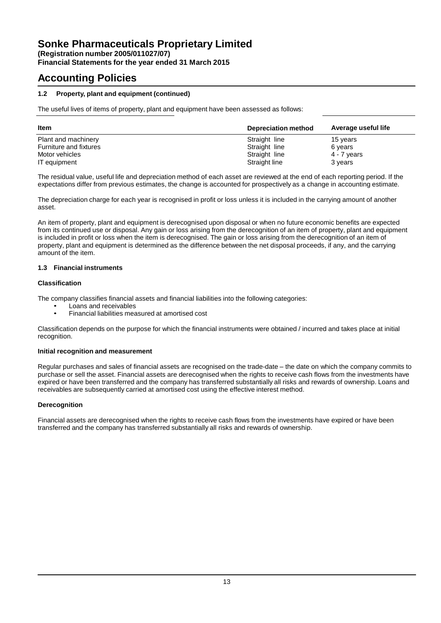**(Registration number 2005/011027/07)**

**Financial Statements for the year ended 31 March 2015**

## **Accounting Policies**

## **1.2 Property, plant and equipment (continued)**

The useful lives of items of property, plant and equipment have been assessed as follows:

| <b>Item</b>            | Depreciation method | Average useful life |
|------------------------|---------------------|---------------------|
| Plant and machinery    | Straight line       | 15 years            |
| Furniture and fixtures | Straight line       | 6 years             |
| Motor vehicles         | Straight line       | 4 - 7 years         |
| IT equipment           | Straight line       | 3 years             |

The residual value, useful life and depreciation method of each asset are reviewed at the end of each reporting period. If the expectations differ from previous estimates, the change is accounted for prospectively as a change in accounting estimate.

The depreciation charge for each year is recognised in profit or loss unless it is included in the carrying amount of another asset.

An item of property, plant and equipment is derecognised upon disposal or when no future economic benefits are expected from its continued use or disposal. Any gain or loss arising from the derecognition of an item of property, plant and equipment is included in profit or loss when the item is derecognised. The gain or loss arising from the derecognition of an item of property, plant and equipment is determined as the difference between the net disposal proceeds, if any, and the carrying amount of the item.

## **1.3 Financial instruments**

## **Classification**

The company classifies financial assets and financial liabilities into the following categories:

- Loans and receivables
- Financial liabilities measured at amortised cost

Classification depends on the purpose for which the financial instruments were obtained / incurred and takes place at initial recognition.

### **Initial recognition and measurement**

Regular purchases and sales of financial assets are recognised on the trade-date – the date on which the company commits to purchase or sell the asset. Financial assets are derecognised when the rights to receive cash flows from the investments have expired or have been transferred and the company has transferred substantially all risks and rewards of ownership. Loans and receivables are subsequently carried at amortised cost using the effective interest method.

## **Derecognition**

Financial assets are derecognised when the rights to receive cash flows from the investments have expired or have been transferred and the company has transferred substantially all risks and rewards of ownership.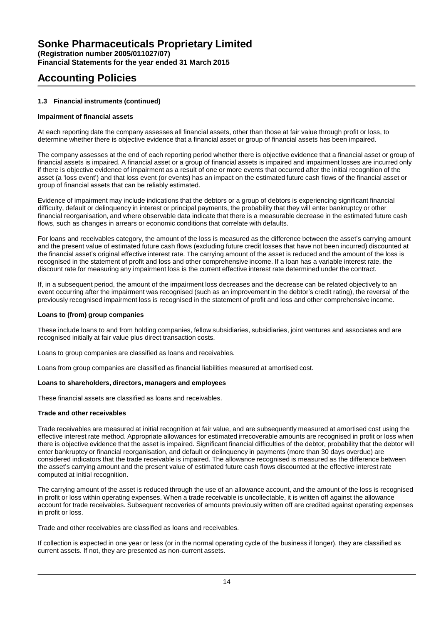**(Registration number 2005/011027/07) Financial Statements for the year ended 31 March 2015**

## **Accounting Policies**

## **1.3 Financial instruments (continued)**

#### **Impairment of financial assets**

At each reporting date the company assesses all financial assets, other than those at fair value through profit or loss, to determine whether there is objective evidence that a financial asset or group of financial assets has been impaired.

The company assesses at the end of each reporting period whether there is objective evidence that a financial asset or group of financial assets is impaired. A financial asset or a group of financial assets is impaired and impairment losses are incurred only if there is objective evidence of impairment as a result of one or more events that occurred after the initial recognition of the asset (a 'loss event') and that loss event (or events) has an impact on the estimated future cash flows of the financial asset or group of financial assets that can be reliably estimated.

Evidence of impairment may include indications that the debtors or a group of debtors is experiencing significant financial difficulty, default or delinquency in interest or principal payments, the probability that they will enter bankruptcy or other financial reorganisation, and where observable data indicate that there is a measurable decrease in the estimated future cash flows, such as changes in arrears or economic conditions that correlate with defaults.

For loans and receivables category, the amount of the loss is measured as the difference between the asset's carrying amount and the present value of estimated future cash flows (excluding future credit losses that have not been incurred) discounted at the financial asset's original effective interest rate. The carrying amount of the asset is reduced and the amount of the loss is recognised in the statement of profit and loss and other comprehensive income. If a loan has a variable interest rate, the discount rate for measuring any impairment loss is the current effective interest rate determined under the contract.

If, in a subsequent period, the amount of the impairment loss decreases and the decrease can be related objectively to an event occurring after the impairment was recognised (such as an improvement in the debtor's credit rating), the reversal of the previously recognised impairment loss is recognised in the statement of profit and loss and other comprehensive income.

### **Loans to (from) group companies**

These include loans to and from holding companies, fellow subsidiaries, subsidiaries, joint ventures and associates and are recognised initially at fair value plus direct transaction costs.

Loans to group companies are classified as loans and receivables.

Loans from group companies are classified as financial liabilities measured at amortised cost.

### **Loans to shareholders, directors, managers and employees**

These financial assets are classified as loans and receivables.

### **Trade and other receivables**

Trade receivables are measured at initial recognition at fair value, and are subsequently measured at amortised cost using the effective interest rate method. Appropriate allowances for estimated irrecoverable amounts are recognised in profit or loss when there is objective evidence that the asset is impaired. Significant financial difficulties of the debtor, probability that the debtor will enter bankruptcy or financial reorganisation, and default or delinquency in payments (more than 30 days overdue) are considered indicators that the trade receivable is impaired. The allowance recognised is measured as the difference between the asset's carrying amount and the present value of estimated future cash flows discounted at the effective interest rate computed at initial recognition.

The carrying amount of the asset is reduced through the use of an allowance account, and the amount of the loss is recognised in profit or loss within operating expenses. When a trade receivable is uncollectable, it is written off against the allowance account for trade receivables. Subsequent recoveries of amounts previously written off are credited against operating expenses in profit or loss.

Trade and other receivables are classified as loans and receivables.

If collection is expected in one year or less (or in the normal operating cycle of the business if longer), they are classified as current assets. If not, they are presented as non-current assets.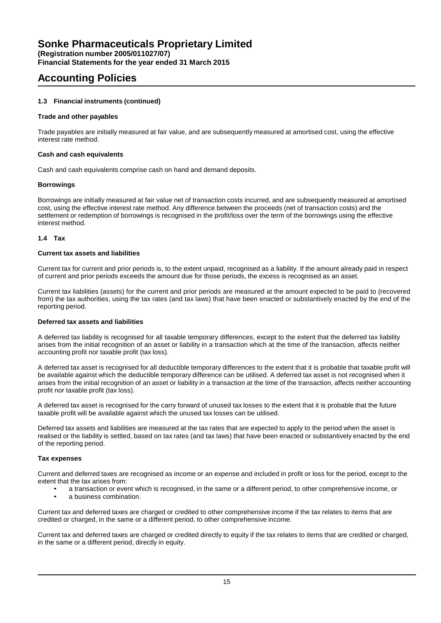**(Registration number 2005/011027/07)**

**Financial Statements for the year ended 31 March 2015**

## **Accounting Policies**

## **1.3 Financial instruments (continued)**

### **Trade and other payables**

Trade payables are initially measured at fair value, and are subsequently measured at amortised cost, using the effective interest rate method.

### **Cash and cash equivalents**

Cash and cash equivalents comprise cash on hand and demand deposits.

#### **Borrowings**

Borrowings are initially measured at fair value net of transaction costs incurred, and are subsequently measured at amortised cost, using the effective interest rate method. Any difference between the proceeds (net of transaction costs) and the settlement or redemption of borrowings is recognised in the profit/loss over the term of the borrowings using the effective interest method.

### **1.4 Tax**

#### **Current tax assets and liabilities**

Current tax for current and prior periods is, to the extent unpaid, recognised as a liability. If the amount already paid in respect of current and prior periods exceeds the amount due for those periods, the excess is recognised as an asset.

Current tax liabilities (assets) for the current and prior periods are measured at the amount expected to be paid to (recovered from) the tax authorities, using the tax rates (and tax laws) that have been enacted or substantively enacted by the end of the reporting period.

#### **Deferred tax assets and liabilities**

A deferred tax liability is recognised for all taxable temporary differences, except to the extent that the deferred tax liability arises from the initial recognition of an asset or liability in a transaction which at the time of the transaction, affects neither accounting profit nor taxable profit (tax loss).

A deferred tax asset is recognised for all deductible temporary differences to the extent that it is probable that taxable profit will be available against which the deductible temporary difference can be utilised. A deferred tax asset is not recognised when it arises from the initial recognition of an asset or liability in a transaction at the time of the transaction, affects neither accounting profit nor taxable profit (tax loss).

A deferred tax asset is recognised for the carry forward of unused tax losses to the extent that it is probable that the future taxable profit will be available against which the unused tax losses can be utilised.

Deferred tax assets and liabilities are measured at the tax rates that are expected to apply to the period when the asset is realised or the liability is settled, based on tax rates (and tax laws) that have been enacted or substantively enacted by the end of the reporting period.

#### **Tax expenses**

Current and deferred taxes are recognised as income or an expense and included in profit or loss for the period, except to the extent that the tax arises from:

- a transaction or event which is recognised, in the same or a different period, to other comprehensive income, or
- a business combination.

Current tax and deferred taxes are charged or credited to other comprehensive income if the tax relates to items that are credited or charged, in the same or a different period, to other comprehensive income.

Current tax and deferred taxes are charged or credited directly to equity if the tax relates to items that are credited or charged, in the same or a different period, directly in equity.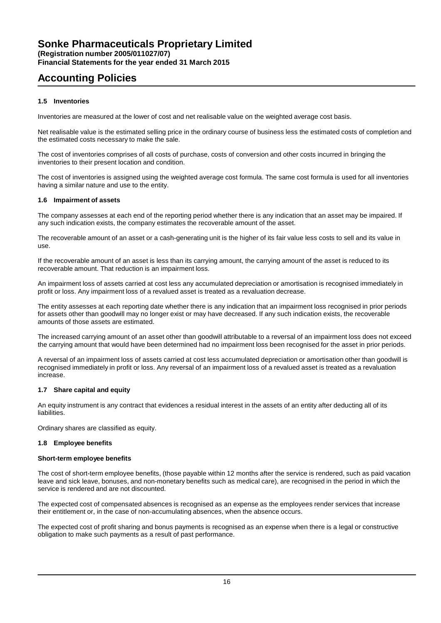## **Accounting Policies**

## **1.5 Inventories**

Inventories are measured at the lower of cost and net realisable value on the weighted average cost basis.

Net realisable value is the estimated selling price in the ordinary course of business less the estimated costs of completion and the estimated costs necessary to make the sale.

The cost of inventories comprises of all costs of purchase, costs of conversion and other costs incurred in bringing the inventories to their present location and condition.

The cost of inventories is assigned using the weighted average cost formula. The same cost formula is used for all inventories having a similar nature and use to the entity.

#### **1.6 Impairment of assets**

The company assesses at each end of the reporting period whether there is any indication that an asset may be impaired. If any such indication exists, the company estimates the recoverable amount of the asset.

The recoverable amount of an asset or a cash-generating unit is the higher of its fair value less costs to sell and its value in use.

If the recoverable amount of an asset is less than its carrying amount, the carrying amount of the asset is reduced to its recoverable amount. That reduction is an impairment loss.

An impairment loss of assets carried at cost less any accumulated depreciation or amortisation is recognised immediately in profit or loss. Any impairment loss of a revalued asset is treated as a revaluation decrease.

The entity assesses at each reporting date whether there is any indication that an impairment loss recognised in prior periods for assets other than goodwill may no longer exist or may have decreased. If any such indication exists, the recoverable amounts of those assets are estimated.

The increased carrying amount of an asset other than goodwill attributable to a reversal of an impairment loss does not exceed the carrying amount that would have been determined had no impairment loss been recognised for the asset in prior periods.

A reversal of an impairment loss of assets carried at cost less accumulated depreciation or amortisation other than goodwill is recognised immediately in profit or loss. Any reversal of an impairment loss of a revalued asset is treated as a revaluation increase.

### **1.7 Share capital and equity**

An equity instrument is any contract that evidences a residual interest in the assets of an entity after deducting all of its liabilities.

Ordinary shares are classified as equity.

#### **1.8 Employee benefits**

#### **Short-term employee benefits**

The cost of short-term employee benefits, (those payable within 12 months after the service is rendered, such as paid vacation leave and sick leave, bonuses, and non-monetary benefits such as medical care), are recognised in the period in which the service is rendered and are not discounted.

The expected cost of compensated absences is recognised as an expense as the employees render services that increase their entitlement or, in the case of non-accumulating absences, when the absence occurs.

The expected cost of profit sharing and bonus payments is recognised as an expense when there is a legal or constructive obligation to make such payments as a result of past performance.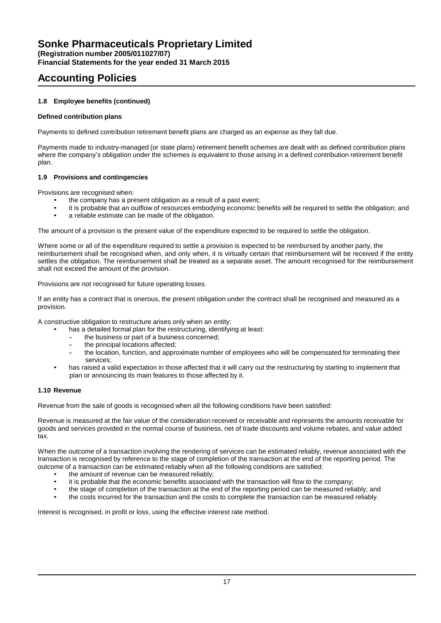**(Registration number 2005/011027/07)**

**Financial Statements for the year ended 31 March 2015**

## **Accounting Policies**

## **1.8 Employee benefits (continued)**

### **Defined contribution plans**

Payments to defined contribution retirement benefit plans are charged as an expense as they fall due.

Payments made to industry-managed (or state plans) retirement benefit schemes are dealt with as defined contribution plans where the company's obligation under the schemes is equivalent to those arising in a defined contribution retirement benefit plan.

## **1.9 Provisions and contingencies**

Provisions are recognised when:

- the company has a present obligation as a result of a past event;<br>• it is probable that an outflow of resources embodying economic b
- it is probable that an outflow of resources embodying economic benefits will be required to settle the obligation; and
- a reliable estimate can be made of the obligation.

The amount of a provision is the present value of the expenditure expected to be required to settle the obligation.

Where some or all of the expenditure required to settle a provision is expected to be reimbursed by another party, the reimbursement shall be recognised when, and only when, it is virtually certain that reimbursement will be received if the entity settles the obligation. The reimbursement shall be treated as a separate asset. The amount recognised for the reimbursement shall not exceed the amount of the provision.

Provisions are not recognised for future operating losses.

If an entity has a contract that is onerous, the present obligation under the contract shall be recognised and measured as a provision.

A constructive obligation to restructure arises only when an entity:

- has a detailed formal plan for the restructuring, identifying at least:
- **-** the business or part of a business concerned;
- **-** the principal locations affected;
- **-** the location, function, and approximate number of employees who will be compensated for terminating their services;
- has raised a valid expectation in those affected that it will carry out the restructuring by starting to implement that plan or announcing its main features to those affected by it.

### **1.10 Revenue**

Revenue from the sale of goods is recognised when all the following conditions have been satisfied:

Revenue is measured at the fair value of the consideration received or receivable and represents the amounts receivable for goods and services provided in the normal course of business, net of trade discounts and volume rebates, and value added tax.

When the outcome of a transaction involving the rendering of services can be estimated reliably, revenue associated with the transaction is recognised by reference to the stage of completion of the transaction at the end of the reporting period. The outcome of a transaction can be estimated reliably when all the following conditions are satisfied:

- the amount of revenue can be measured reliably;
- it is probable that the economic benefits associated with the transaction will flow to the company;
- the stage of completion of the transaction at the end of the reporting period can be measured reliably; and
- the costs incurred for the transaction and the costs to complete the transaction can be measured reliably.

Interest is recognised, in profit or loss, using the effective interest rate method.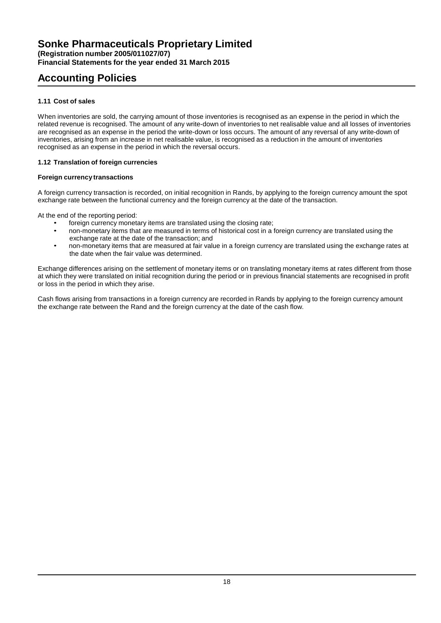**Financial Statements for the year ended 31 March 2015**

## **Accounting Policies**

## **1.11 Cost of sales**

When inventories are sold, the carrying amount of those inventories is recognised as an expense in the period in which the related revenue is recognised. The amount of any write-down of inventories to net realisable value and all losses of inventories are recognised as an expense in the period the write-down or loss occurs. The amount of any reversal of any write-down of inventories, arising from an increase in net realisable value, is recognised as a reduction in the amount of inventories recognised as an expense in the period in which the reversal occurs.

## **1.12 Translation of foreign currencies**

### **Foreign currency transactions**

A foreign currency transaction is recorded, on initial recognition in Rands, by applying to the foreign currency amount the spot exchange rate between the functional currency and the foreign currency at the date of the transaction.

At the end of the reporting period:

- foreign currency monetary items are translated using the closing rate;
- non-monetary items that are measured in terms of historical cost in a foreign currency are translated using the exchange rate at the date of the transaction; and
- non-monetary items that are measured at fair value in a foreign currency are translated using the exchange rates at the date when the fair value was determined.

Exchange differences arising on the settlement of monetary items or on translating monetary items at rates different from those at which they were translated on initial recognition during the period or in previous financial statements are recognised in profit or loss in the period in which they arise.

Cash flows arising from transactions in a foreign currency are recorded in Rands by applying to the foreign currency amount the exchange rate between the Rand and the foreign currency at the date of the cash flow.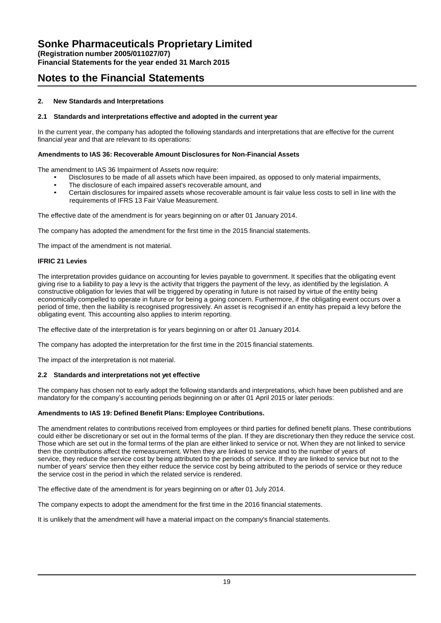**Financial Statements for the year ended 31 March 2015**

## **Notes to the Financial Statements**

## **2. New Standards and Interpretations**

## **2.1 Standards and interpretations effective and adopted in the current year**

In the current year, the company has adopted the following standards and interpretations that are effective for the current financial year and that are relevant to its operations:

## **Amendments to IAS 36: Recoverable Amount Disclosures for Non-Financial Assets**

The amendment to IAS 36 Impairment of Assets now require:

- Disclosures to be made of all assets which have been impaired, as opposed to only material impairments,
- The disclosure of each impaired asset's recoverable amount, and
- Certain disclosures for impaired assets whose recoverable amount is fair value less costs to sell in line with the requirements of IFRS 13 Fair Value Measurement.

The effective date of the amendment is for years beginning on or after 01 January 2014.

The company has adopted the amendment for the first time in the 2015 financial statements.

The impact of the amendment is not material.

### **IFRIC 21 Levies**

The interpretation provides guidance on accounting for levies payable to government. It specifies that the obligating event giving rise to a liability to pay a levy is the activity that triggers the payment of the levy, as identified by the legislation. A constructive obligation for levies that will be triggered by operating in future is not raised by virtue of the entity being economically compelled to operate in future or for being a going concern. Furthermore, if the obligating event occurs over a period of time, then the liability is recognised progressively. An asset is recognised if an entity has prepaid a levy before the obligating event. This accounting also applies to interim reporting.

The effective date of the interpretation is for years beginning on or after 01 January 2014.

The company has adopted the interpretation for the first time in the 2015 financial statements.

The impact of the interpretation is not material.

### **2.2 Standards and interpretations not yet effective**

The company has chosen not to early adopt the following standards and interpretations, which have been published and are mandatory for the company's accounting periods beginning on or after 01 April 2015 or later periods:

### **Amendments to IAS 19: Defined Benefit Plans: Employee Contributions.**

The amendment relates to contributions received from employees or third parties for defined benefit plans. These contributions could either be discretionary or set out in the formal terms of the plan. If they are discretionary then they reduce the service cost. Those which are set out in the formal terms of the plan are either linked to service or not. When they are not linked to service then the contributions affect the remeasurement. When they are linked to service and to the number of years of service, they reduce the service cost by being attributed to the periods of service. If they are linked to service but not to the number of years' service then they either reduce the service cost by being attributed to the periods of service or they reduce the service cost in the period in which the related service is rendered.

The effective date of the amendment is for years beginning on or after 01 July 2014.

The company expects to adopt the amendment for the first time in the 2016 financial statements.

It is unlikely that the amendment will have a material impact on the company's financial statements.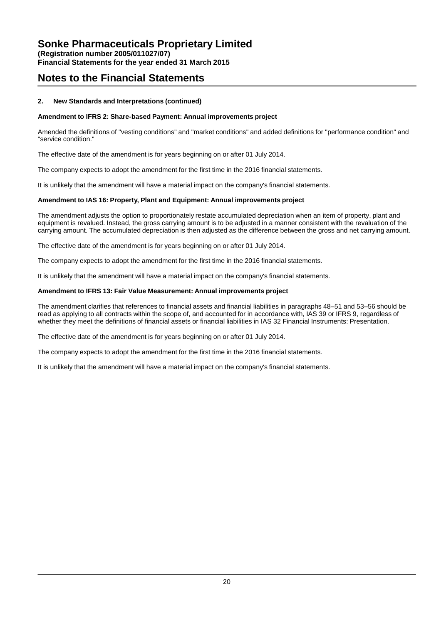**(Registration number 2005/011027/07)**

**Financial Statements for the year ended 31 March 2015**

## **Notes to the Financial Statements**

### **2. New Standards and Interpretations (continued)**

### **Amendment to IFRS 2: Share-based Payment: Annual improvements project**

Amended the definitions of "vesting conditions" and "market conditions" and added definitions for "performance condition" and "service condition."

The effective date of the amendment is for years beginning on or after 01 July 2014.

The company expects to adopt the amendment for the first time in the 2016 financial statements.

It is unlikely that the amendment will have a material impact on the company's financial statements.

### **Amendment to IAS 16: Property, Plant and Equipment: Annual improvements project**

The amendment adjusts the option to proportionately restate accumulated depreciation when an item of property, plant and equipment is revalued. Instead, the gross carrying amount is to be adjusted in a manner consistent with the revaluation of the carrying amount. The accumulated depreciation is then adjusted as the difference between the gross and net carrying amount.

The effective date of the amendment is for years beginning on or after 01 July 2014.

The company expects to adopt the amendment for the first time in the 2016 financial statements.

It is unlikely that the amendment will have a material impact on the company's financial statements.

### **Amendment to IFRS 13: Fair Value Measurement: Annual improvements project**

The amendment clarifies that references to financial assets and financial liabilities in paragraphs 48–51 and 53–56 should be read as applying to all contracts within the scope of, and accounted for in accordance with, IAS 39 or IFRS 9, regardless of whether they meet the definitions of financial assets or financial liabilities in IAS 32 Financial Instruments: Presentation.

The effective date of the amendment is for years beginning on or after 01 July 2014.

The company expects to adopt the amendment for the first time in the 2016 financial statements.

It is unlikely that the amendment will have a material impact on the company's financial statements.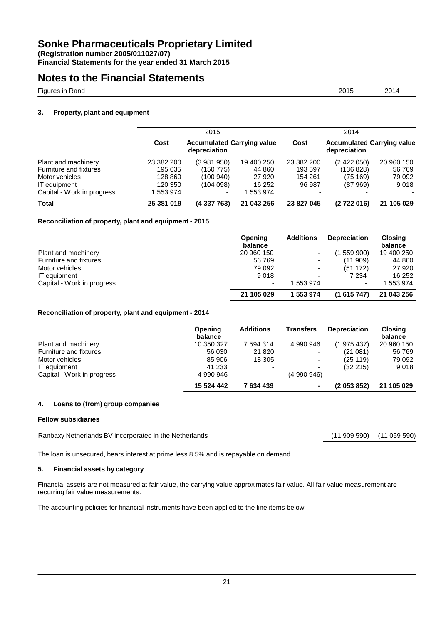**Financial Statements for the year ended 31 March 2015**

## **Notes to the Financial Statements**

**Figures in Rand 2015** 2014

## **3. Property, plant and equipment**

|                            |            | 2015                                              |            |            | 2014                                              |            |
|----------------------------|------------|---------------------------------------------------|------------|------------|---------------------------------------------------|------------|
|                            | Cost       | <b>Accumulated Carrying value</b><br>depreciation |            | Cost       | <b>Accumulated Carrying value</b><br>depreciation |            |
| Plant and machinery        | 23 382 200 | (3981950)                                         | 19 400 250 | 23 382 200 | (2422050)                                         | 20 960 150 |
| Furniture and fixtures     | 195 635    | (150 775)                                         | 44 860     | 193 597    | (136 828)                                         | 56 769     |
| Motor vehicles             | 128 860    | (100 940)                                         | 27 9 20    | 154 261    | (75 169)                                          | 79 092     |
| IT equipment               | 120 350    | (104 098)                                         | 16 252     | 96 987     | (87969)                                           | 9018       |
| Capital - Work in progress | 1 553 974  |                                                   | 1 553 974  |            |                                                   |            |
| <b>Total</b>               | 25 381 019 | (4 337 763)                                       | 21 043 256 | 23 827 045 | (2722016)                                         | 21 105 029 |

## **Reconciliation of property, plant and equipment - 2015**

|                            | <b>Opening</b><br>balance | <b>Additions</b>         | <b>Depreciation</b> | <b>Closing</b><br>balance |
|----------------------------|---------------------------|--------------------------|---------------------|---------------------------|
| Plant and machinery        | 20 960 150                |                          | (1 559 900)         | 19 400 250                |
| Furniture and fixtures     | 56 769                    | $\overline{\phantom{a}}$ | (11909)             | 44 860                    |
| Motor vehicles             | 79 092                    | $\overline{\phantom{0}}$ | (51172)             | 27 9 20                   |
| IT equipment               | 9018                      | $\overline{\phantom{0}}$ | 7 2 3 4             | 16 25 2                   |
| Capital - Work in progress |                           | 553 974                  |                     | 1 553 974                 |
|                            | 21 105 029                | 1 553 974                | (1615747)           | 21 043 256                |

## **Reconciliation of property, plant and equipment - 2014**

|                            | Opening<br>balance | <b>Additions</b> | <b>Transfers</b>         | <b>Depreciation</b> | <b>Closing</b><br>balance |
|----------------------------|--------------------|------------------|--------------------------|---------------------|---------------------------|
| Plant and machinery        | 10 350 327         | 7 594 314        | 4 990 946                | (1975437)           | 20 960 150                |
| Furniture and fixtures     | 56 030             | 21 8 20          | $\overline{\phantom{0}}$ | (21081)             | 56 769                    |
| Motor vehicles             | 85 906             | 18 305           | ٠                        | (25119)             | 79 092                    |
| IT equipment               | 41 233             | ٠                | $\overline{\phantom{0}}$ | (32 215)            | 9018                      |
| Capital - Work in progress | 4 990 946          | ۰                | (4990946)                |                     |                           |
|                            | 15 524 442         | 7 634 439        | $\blacksquare$           | (2053852)           | 21 105 029                |

### **4. Loans to (from) group companies**

### **Fellow subsidiaries**

Ranbaxy Netherlands BV incorporated in the Netherlands (11 909 590) (11 059 590)

The loan is unsecured, bears interest at prime less 8.5% and is repayable on demand.

### **5. Financial assets by category**

Financial assets are not measured at fair value, the carrying value approximates fair value. All fair value measurement are recurring fair value measurements.

The accounting policies for financial instruments have been applied to the line items below: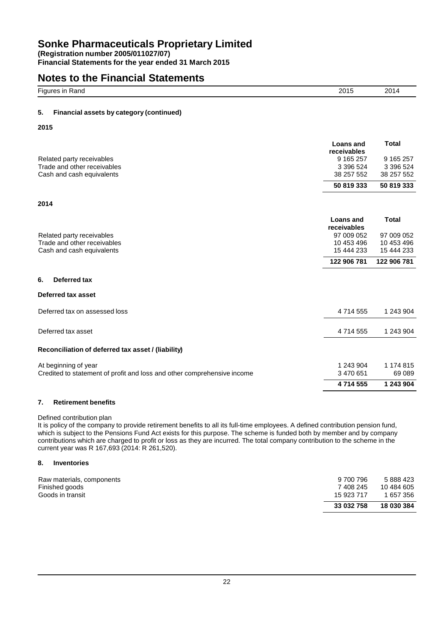**(Registration number 2005/011027/07)**

**Financial Statements for the year ended 31 March 2015**

## **Notes to the Financial Statements**

| . <u>.</u><br>- --<br>FIOI<br>≺anu | 001E<br>---<br>__ | 201<br>$\sim$ |
|------------------------------------|-------------------|---------------|
|                                    |                   |               |

## **5. Financial assets by category (continued)**

## **2015**

|                             | <b>Loans</b> and<br>receivables | Total      |
|-----------------------------|---------------------------------|------------|
| Related party receivables   | 9 165 257                       | 9 165 257  |
| Trade and other receivables | 3 396 524                       | 3 396 524  |
| Cash and cash equivalents   | 38 257 552                      | 38 257 552 |
|                             | 50 819 333                      | 50 819 333 |

### **2014**

|                             | <b>Loans</b> and<br>receivables | Total       |
|-----------------------------|---------------------------------|-------------|
| Related party receivables   | 97 009 052                      | 97 009 052  |
| Trade and other receivables | 10 453 496                      | 10 453 496  |
| Cash and cash equivalents   | 15 444 233                      | 15 444 233  |
|                             | 122 906 781                     | 122 906 781 |

### **6. Deferred tax**

### **Deferred tax asset**

| Deferred tax on assessed loss                                                                   | 4 714 555                       | 1 243 904                        |
|-------------------------------------------------------------------------------------------------|---------------------------------|----------------------------------|
| Deferred tax asset                                                                              | 4 714 555                       | 1 243 904                        |
| Reconciliation of deferred tax asset / (liability)                                              |                                 |                                  |
| At beginning of year<br>Credited to statement of profit and loss and other comprehensive income | 1 243 904<br>3470651<br>4714555 | 1 174 815<br>69 089<br>1 243 904 |

### **7. Retirement benefits**

#### Defined contribution plan

It is policy of the company to provide retirement benefits to all its full-time employees. A defined contribution pension fund, which is subject to the Pensions Fund Act exists for this purpose. The scheme is funded both by member and by company contributions which are charged to profit or loss as they are incurred. The total company contribution to the scheme in the current year was R 167,693 (2014: R 261,520).

### **8. Inventories**

|                           | 33 032 758 | 18 030 384 |
|---------------------------|------------|------------|
| Goods in transit          | 15 923 717 | 1 657 356  |
| Finished goods            | 7 408 245  | 10 484 605 |
| Raw materials, components | 9 700 796  | 5 888 423  |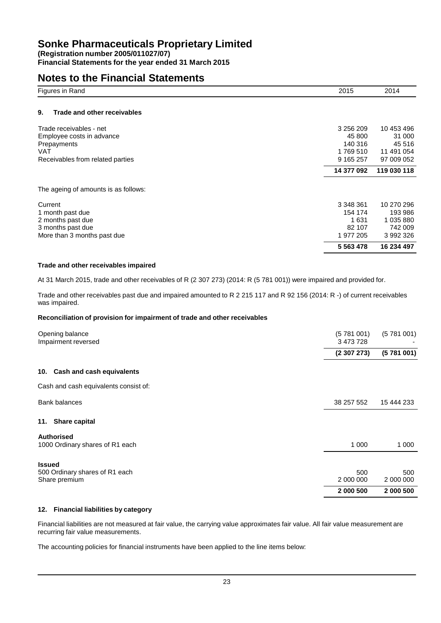**Financial Statements for the year ended 31 March 2015**

## **Notes to the Financial Statements**

| Figures in Rand                          | 2015          | 2014        |
|------------------------------------------|---------------|-------------|
| <b>Trade and other receivables</b><br>9. |               |             |
| Trade receivables - net                  | 3 256 209     | 10 453 496  |
| Employee costs in advance                | 45 800        | 31 000      |
| Prepayments                              | 140 316       | 45 516      |
| VAT                                      | 1769510       | 11 491 054  |
| Receivables from related parties         | 9 165 257     | 97 009 052  |
|                                          | 14 377 092    | 119 030 118 |
| The ageing of amounts is as follows:     |               |             |
| Current                                  | 3 348 361     | 10 270 296  |
| 1 month past due                         | 154 174       | 193 986     |
| 2 months past due                        | 1631          | 1 035 880   |
| 3 months past due                        | 82 107        | 742 009     |
| More than 3 months past due              | 1 977 205     | 3 992 326   |
|                                          | 5 5 6 3 4 7 8 | 16 234 497  |

## **Trade and other receivables impaired**

At 31 March 2015, trade and other receivables of R (2 307 273) (2014: R (5 781 001)) were impaired and provided for.

Trade and other receivables past due and impaired amounted to R 2 215 117 and R 92 156 (2014: R -) of current receivables was impaired.

### **Reconciliation of provision for impairment of trade and other receivables**

| Opening balance<br>Impairment reversed                           | (5781001)<br>3 473 728 | (5781001)        |
|------------------------------------------------------------------|------------------------|------------------|
|                                                                  | (2307273)              | (5781001)        |
| Cash and cash equivalents<br>10.                                 |                        |                  |
| Cash and cash equivalents consist of:                            |                        |                  |
| <b>Bank balances</b>                                             | 38 257 552             | 15 444 233       |
| <b>Share capital</b><br>11.                                      |                        |                  |
| <b>Authorised</b><br>1000 Ordinary shares of R1 each             | 1 0 0 0                | 1 0 0 0          |
| <b>Issued</b><br>500 Ordinary shares of R1 each<br>Share premium | 500<br>2 000 000       | 500<br>2 000 000 |
|                                                                  | 2 000 500              | 2 000 500        |

## **12. Financial liabilities by category**

Financial liabilities are not measured at fair value, the carrying value approximates fair value. All fair value measurement are recurring fair value measurements.

The accounting policies for financial instruments have been applied to the line items below: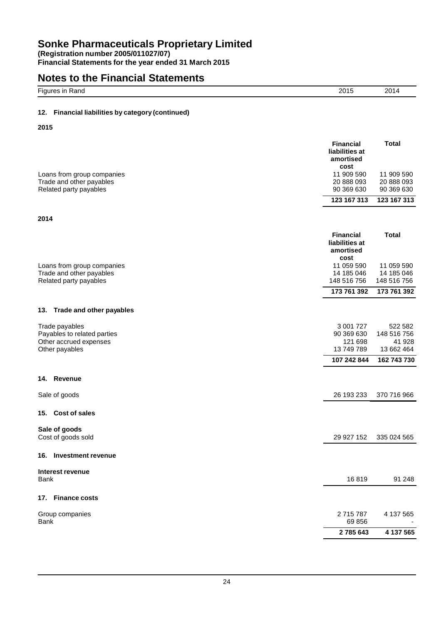**(Registration number 2005/011027/07)**

**Financial Statements for the year ended 31 March 2015**

## **Notes to the Financial Statements**

| $- \cdot$<br>ווחו-<br>ranc | זר<br>$ \vee$ | 204<br>$-0 -$<br>$  -$ |
|----------------------------|---------------|------------------------|
|                            |               |                        |

## **12. Financial liabilities by category (continued)**

## **2015**

|                                                                                  | <b>Financial</b><br>liabilities at<br>amortised<br>cost | <b>Total</b>                           |
|----------------------------------------------------------------------------------|---------------------------------------------------------|----------------------------------------|
| Loans from group companies<br>Trade and other payables<br>Related party payables | 11 909 590<br>20 888 093<br>90 369 630                  | 11 909 590<br>20 888 093<br>90 369 630 |
|                                                                                  | 123 167 313                                             | 123 167 313                            |
| 2014                                                                             |                                                         |                                        |
|                                                                                  | <b>Financial</b><br>liabilities at<br>amortised<br>cost | <b>Total</b>                           |
| Loans from group companies                                                       | 11 059 590                                              | 11 059 590                             |
| Trade and other payables<br>Related party payables                               | 14 185 046<br>148 516 756                               | 14 185 046<br>148 516 756              |
|                                                                                  | 173 761 392                                             | 173 761 392                            |
| 13. Trade and other payables                                                     |                                                         |                                        |
| Trade payables                                                                   | 3 001 727                                               | 522 582                                |
| Payables to related parties<br>Other accrued expenses                            | 90 369 630<br>121 698                                   | 148 516 756<br>41 928                  |
| Other payables                                                                   | 13749789                                                | 13 662 464                             |
|                                                                                  | 107 242 844                                             | 162 743 730                            |
| 14. Revenue                                                                      |                                                         |                                        |
| Sale of goods                                                                    | 26 193 233                                              | 370 716 966                            |
| 15. Cost of sales                                                                |                                                         |                                        |
| Sale of goods<br>Cost of goods sold                                              | 29 927 152                                              | 335 024 565                            |
| 16. Investment revenue                                                           |                                                         |                                        |
| Interest revenue                                                                 |                                                         |                                        |
| Bank                                                                             | 16819                                                   | 91 248                                 |
| 17. Finance costs                                                                |                                                         |                                        |
| Group companies<br><b>Bank</b>                                                   | 2715787<br>69 856                                       | 4 137 565                              |
|                                                                                  | 2785643                                                 | 4 137 565                              |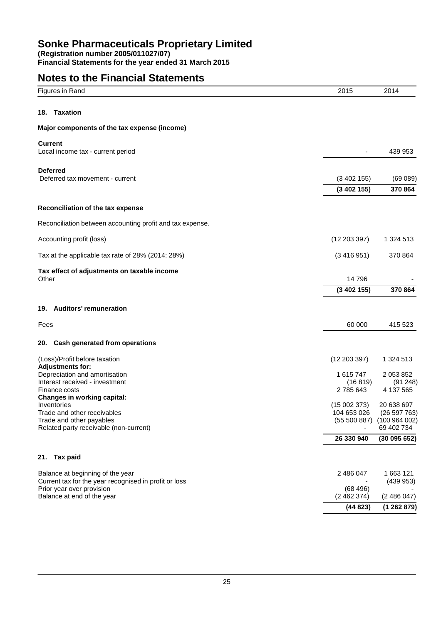**(Registration number 2005/011027/07)**

**Financial Statements for the year ended 31 March 2015**

## **Notes to the Financial Statements**

| Figures in Rand                                                                                                        | 2015                            | 2014                                                                   |
|------------------------------------------------------------------------------------------------------------------------|---------------------------------|------------------------------------------------------------------------|
| 18. Taxation                                                                                                           |                                 |                                                                        |
| Major components of the tax expense (income)                                                                           |                                 |                                                                        |
| <b>Current</b><br>Local income tax - current period                                                                    |                                 | 439 953                                                                |
| <b>Deferred</b><br>Deferred tax movement - current                                                                     | (3402155)                       | (69089)                                                                |
|                                                                                                                        | (3402155)                       | 370 864                                                                |
| Reconciliation of the tax expense                                                                                      |                                 |                                                                        |
| Reconciliation between accounting profit and tax expense.                                                              |                                 |                                                                        |
| Accounting profit (loss)                                                                                               | (12 203 397)                    | 1 324 513                                                              |
| Tax at the applicable tax rate of 28% (2014: 28%)                                                                      | (3416951)                       | 370 864                                                                |
| Tax effect of adjustments on taxable income<br>Other                                                                   | 14796                           |                                                                        |
|                                                                                                                        | (3402155)                       | 370 864                                                                |
| 19. Auditors' remuneration                                                                                             |                                 |                                                                        |
| Fees                                                                                                                   | 60 000                          | 415 523                                                                |
| 20. Cash generated from operations                                                                                     |                                 |                                                                        |
| (Loss)/Profit before taxation<br><b>Adjustments for:</b>                                                               | (12 203 397)                    | 1 324 513                                                              |
| Depreciation and amortisation<br>Interest received - investment<br>Finance costs<br><b>Changes in working capital:</b> | 1 615 747<br>(16819)<br>2785643 | 2 053 852<br>(91 248)<br>4 137 565                                     |
| Inventories<br>Trade and other receivables<br>Trade and other payables<br>Related party receivable (non-current)       | (15002373)<br>104 653 026       | 20 638 697<br>(26 597 763)<br>(55 500 887) (100 964 002)<br>69 402 734 |
|                                                                                                                        | 26 330 940                      | (30095652)                                                             |
| 21. Tax paid                                                                                                           |                                 |                                                                        |
| Balance at beginning of the year<br>Current tax for the year recognised in profit or loss                              | 2 486 047                       | 1 663 121<br>(439953)                                                  |
| Prior year over provision<br>Balance at end of the year                                                                | (68496)<br>(2462374)            | (2486047)                                                              |
|                                                                                                                        | (44823)                         | (1262879)                                                              |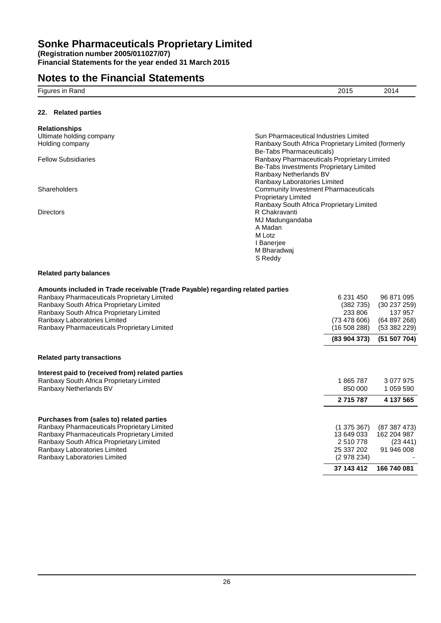**(Registration number 2005/011027/07) Financial Statements for the year ended 31 March 2015**

## **Notes to the Financial Statements**

| Figures<br>Rand | 0.015 | n n |
|-----------------|-------|-----|
|                 |       |     |

## **22. Related parties**

## ` **Relationships**

Ultimate holding company **Sun Pharmaceutical Industries Limited**<br>Holding company **Sun Pharmaceutical Industries Limited**<br>Ranbaxy South Africa Proprietary Limit

|                            | Be-Tabs Pharmaceuticals)                    |
|----------------------------|---------------------------------------------|
| <b>Fellow Subsidiaries</b> | Ranbaxy Pharmaceuticals Proprietary Limited |
|                            | Be-Tabs Investments Proprietary Limited     |
|                            | Ranbaxy Netherlands BV                      |
|                            | Ranbaxy Laboratories Limited                |
| Shareholders               | <b>Community Investment Pharmaceuticals</b> |
|                            | <b>Proprietary Limited</b>                  |
|                            | Ranbaxy South Africa Proprietary Limited    |
| <b>Directors</b>           | R Chakravanti                               |
|                            | MJ Madungandaba                             |
|                            | A Madan                                     |
|                            | M Lotz                                      |
|                            | I Baneriee                                  |
|                            | M Bharadwai                                 |
|                            | S Reddy                                     |

Ranbaxy South Africa Proprietary Limited (formerly

## **Related party balances**

| Amounts included in Trade receivable (Trade Payable) regarding related parties |              |               |
|--------------------------------------------------------------------------------|--------------|---------------|
| Ranbaxy Pharmaceuticals Proprietary Limited                                    | 6 231 450    | 96 871 095    |
| Ranbaxy South Africa Proprietary Limited                                       | (382 735)    | (30237259)    |
| Ranbaxy South Africa Proprietary Limited                                       | 233 806      | 137 957       |
| Ranbaxy Laboratories Limited                                                   | (73 478 606) | (64897268)    |
| Ranbaxy Pharmaceuticals Proprietary Limited                                    | (16 508 288) | (53382229)    |
|                                                                                | (83904373)   | (51 507 704)  |
| <b>Related party transactions</b>                                              |              |               |
| Interest paid to (received from) related parties                               |              |               |
| Ranbaxy South Africa Proprietary Limited                                       | 1865787      | 3 0 7 7 9 7 5 |
| Ranbaxy Netherlands BV                                                         | 850 000      | 1 059 590     |
|                                                                                | 2 715 787    | 4 137 565     |
| Purchases from (sales to) related parties                                      |              |               |
| Ranbaxy Pharmaceuticals Proprietary Limited                                    | (1 375 367)  | (87387473)    |
| Ranbaxy Pharmaceuticals Proprietary Limited                                    | 13 649 033   | 162 204 987   |
| Ranbaxy South Africa Proprietary Limited                                       | 2 510 778    | (23441)       |
| Ranbaxy Laboratories Limited                                                   | 25 337 202   | 91 946 008    |
| Ranbaxy Laboratories Limited                                                   | (2 978 234)  |               |
|                                                                                | 37 143 412   | 166 740 081   |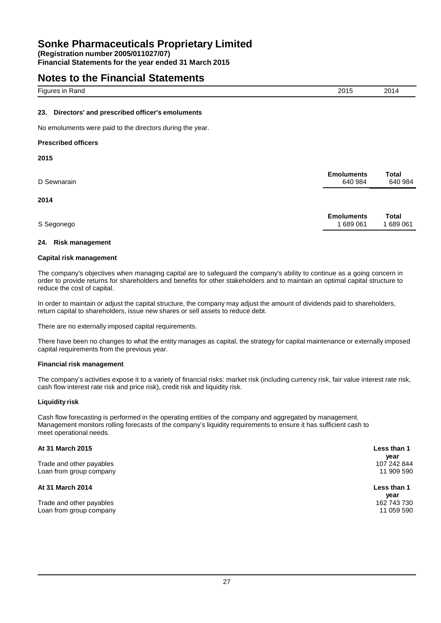**Financial Statements for the year ended 31 March 2015**

## **Notes to the Financial Statements**

| $- \cdot$<br>וחו-<br>. .<br>$\sim$ | .<br>ъ.<br>____ | $\cdot$<br><br>_____ |
|------------------------------------|-----------------|----------------------|
|                                    |                 |                      |

#### **23. Directors' and prescribed officer's emoluments**

No emoluments were paid to the directors during the year.

#### **Prescribed officers**

| D Sewnarain | <b>Emoluments</b><br>640 984   | <b>Total</b><br>640 984 |
|-------------|--------------------------------|-------------------------|
| 2014        |                                |                         |
| S Segonego  | <b>Emoluments</b><br>1 689 061 | <b>Total</b><br>689 061 |

#### **24. Risk management**

#### **Capital risk management**

The company's objectives when managing capital are to safeguard the company's ability to continue as a going concern in order to provide returns for shareholders and benefits for other stakeholders and to maintain an optimal capital structure to reduce the cost of capital.

In order to maintain or adjust the capital structure, the company may adjust the amount of dividends paid to shareholders, return capital to shareholders, issue new shares or sell assets to reduce debt.

There are no externally imposed capital requirements.

There have been no changes to what the entity manages as capital, the strategy for capital maintenance or externally imposed capital requirements from the previous year.

#### **Financial risk management**

The company's activities expose it to a variety of financial risks: market risk (including currency risk, fair value interest rate risk, cash flow interest rate risk and price risk), credit risk and liquidity risk.

## **Liquidity risk**

Cash flow forecasting is performed in the operating entities of the company and aggregated by management. Management monitors rolling forecasts of the company's liquidity requirements to ensure it has sufficient cash to meet operational needs.

#### **At 31 March 2015 Less than 1**

|                          | year        |
|--------------------------|-------------|
| Trade and other payables | 107 242 844 |
| Loan from group company  | 11 909 590  |
| At 31 March 2014         | Less than 1 |
|                          | year        |
| Trade and other payables | 162 743 730 |
| Loan from group company  | 11 059 590  |